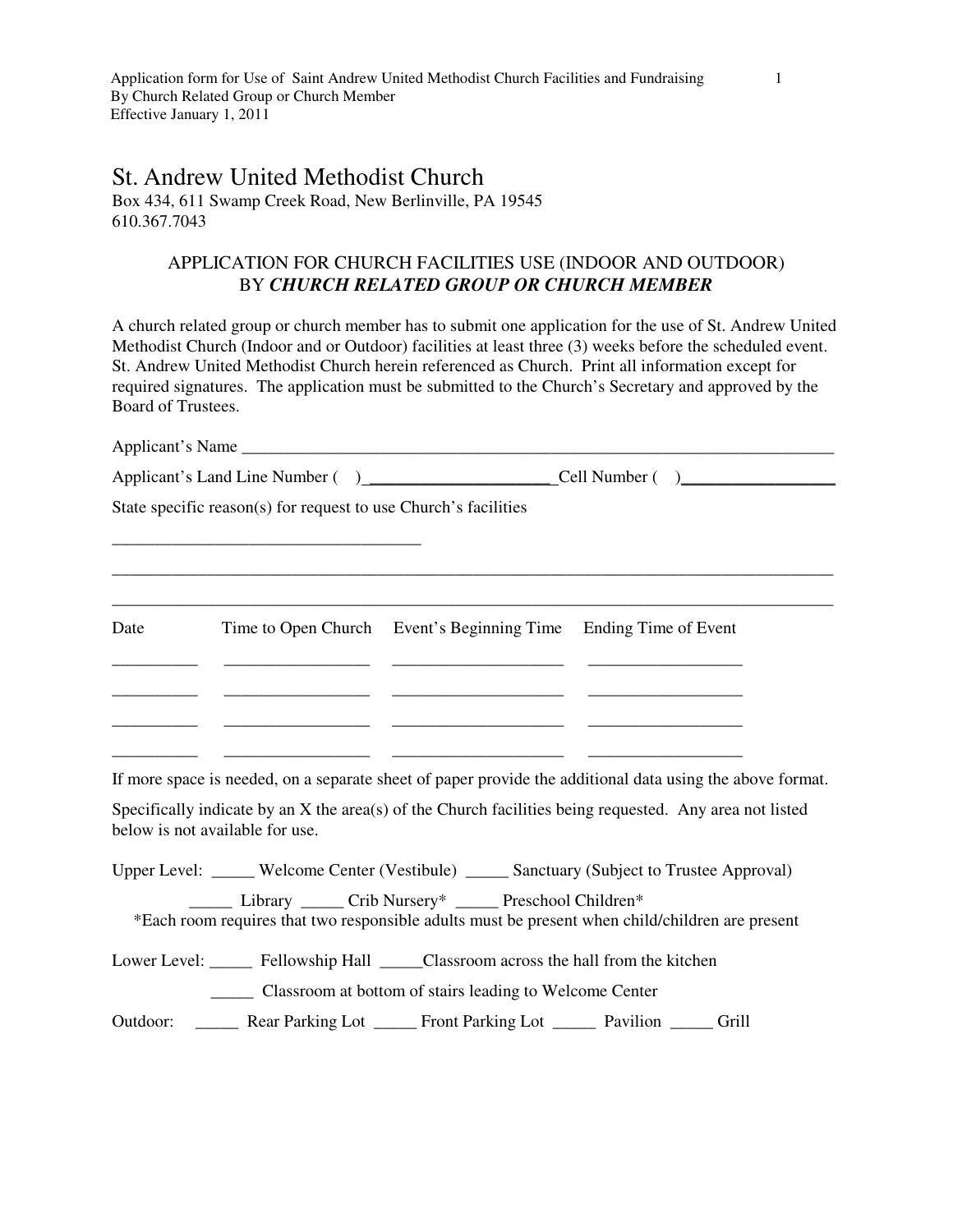Application form for Use of Saint Andrew United Methodist Church Facilities and Fundraising 1 By Church Related Group or Church Member Effective January 1, 2011

## St. Andrew United Methodist Church

Box 434, 611 Swamp Creek Road, New Berlinville, PA 19545 610.367.7043

## APPLICATION FOR CHURCH FACILITIES USE (INDOOR AND OUTDOOR) BY *CHURCH RELATED GROUP OR CHURCH MEMBER*

A church related group or church member has to submit one application for the use of St. Andrew United Methodist Church (Indoor and or Outdoor) facilities at least three (3) weeks before the scheduled event. St. Andrew United Methodist Church herein referenced as Church. Print all information except for required signatures. The application must be submitted to the Church's Secretary and approved by the Board of Trustees.

|                                 | State specific reason(s) for request to use Church's facilities |                                                                                                                                                                                                                                                   |                                                                                                                                                                                                                      |
|---------------------------------|-----------------------------------------------------------------|---------------------------------------------------------------------------------------------------------------------------------------------------------------------------------------------------------------------------------------------------|----------------------------------------------------------------------------------------------------------------------------------------------------------------------------------------------------------------------|
| Date                            |                                                                 | Time to Open Church Event's Beginning Time Ending Time of Event<br><u> 1989 - Andrea San Andrea San Andrea San Andrea San Andrea San Andrea San A</u>                                                                                             |                                                                                                                                                                                                                      |
| below is not available for use. |                                                                 |                                                                                                                                                                                                                                                   | If more space is needed, on a separate sheet of paper provide the additional data using the above format.<br>Specifically indicate by an X the area(s) of the Church facilities being requested. Any area not listed |
|                                 |                                                                 | Library ______ Crib Nursery* ______ Preschool Children*                                                                                                                                                                                           | Upper Level: _____ Welcome Center (Vestibule) _____ Sanctuary (Subject to Trustee Approval)<br>*Each room requires that two responsible adults must be present when child/children are present                       |
|                                 |                                                                 | Lower Level: ______ Fellowship Hall _____Classroom across the hall from the kitchen<br>_______ Classroom at bottom of stairs leading to Welcome Center<br>Outdoor: _______ Rear Parking Lot ______ Front Parking Lot ______ Pavilion ______ Grill |                                                                                                                                                                                                                      |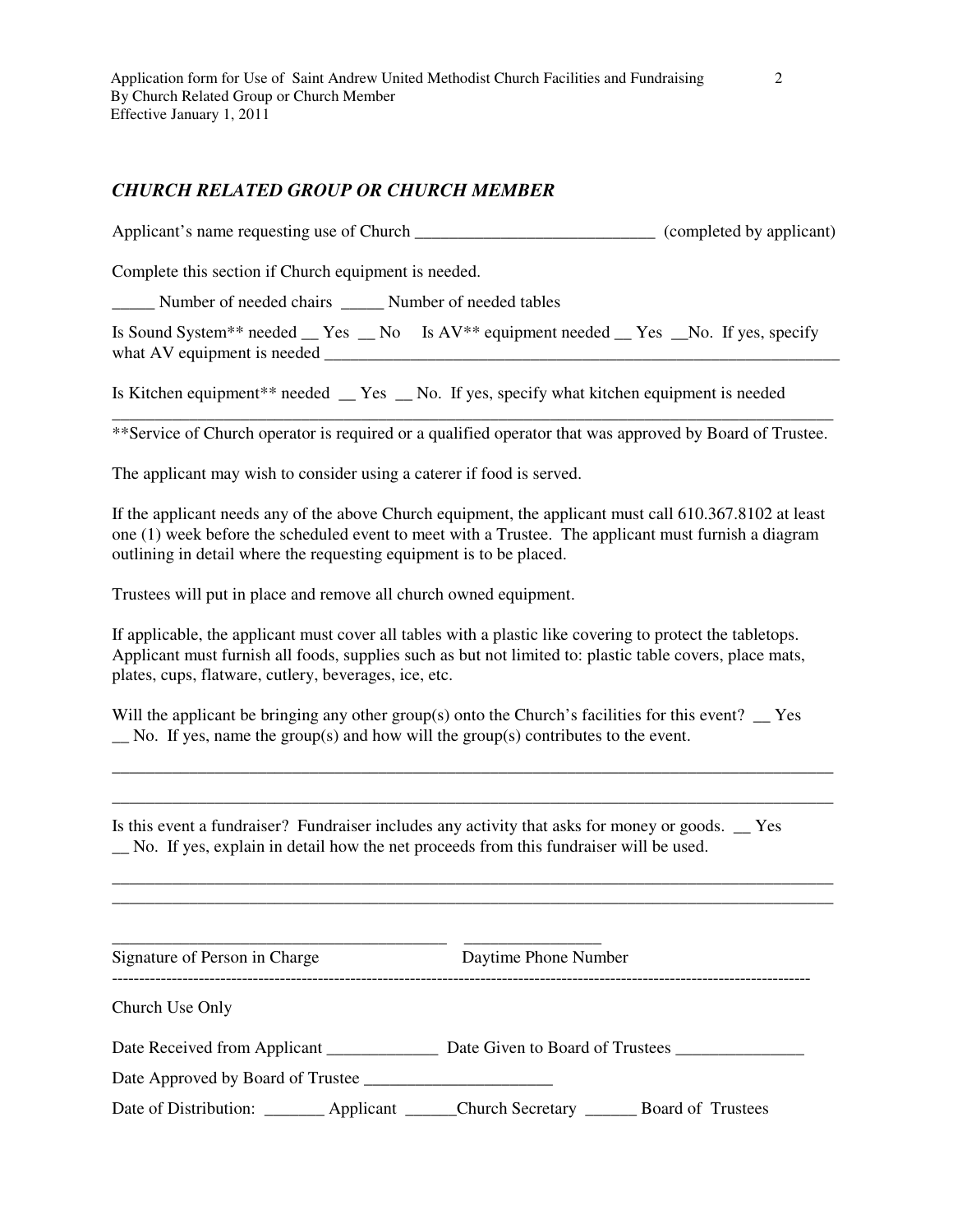## *CHURCH RELATED GROUP OR CHURCH MEMBER*

Applicant's name requesting use of Church \_\_\_\_\_\_\_\_\_\_\_\_\_\_\_\_\_\_\_\_\_\_\_\_\_\_\_\_ (completed by applicant)

Complete this section if Church equipment is needed.

\_\_\_\_\_ Number of needed chairs \_\_\_\_\_ Number of needed tables

Is Sound System\*\* needed \_\_ Yes \_\_ No Is AV\*\* equipment needed \_\_ Yes \_\_No. If yes, specify what AV equipment is needed

Is Kitchen equipment\*\* needed \_\_ Yes \_\_ No. If yes, specify what kitchen equipment is needed

\_\_\_\_\_\_\_\_\_\_\_\_\_\_\_\_\_\_\_\_\_\_\_\_\_\_\_\_\_\_\_\_\_\_\_\_\_\_\_\_\_\_\_\_\_\_\_\_\_\_\_\_\_\_\_\_\_\_\_\_\_\_\_\_\_\_\_\_\_\_\_\_\_\_\_\_\_\_\_\_\_\_\_\_ \*\*Service of Church operator is required or a qualified operator that was approved by Board of Trustee.

The applicant may wish to consider using a caterer if food is served.

If the applicant needs any of the above Church equipment, the applicant must call 610.367.8102 at least one (1) week before the scheduled event to meet with a Trustee. The applicant must furnish a diagram outlining in detail where the requesting equipment is to be placed.

Trustees will put in place and remove all church owned equipment.

If applicable, the applicant must cover all tables with a plastic like covering to protect the tabletops. Applicant must furnish all foods, supplies such as but not limited to: plastic table covers, place mats, plates, cups, flatware, cutlery, beverages, ice, etc.

Will the applicant be bringing any other group(s) onto the Church's facilities for this event?  $\Gamma$  $\Box$  No. If yes, name the group(s) and how will the group(s) contributes to the event.

\_\_\_\_\_\_\_\_\_\_\_\_\_\_\_\_\_\_\_\_\_\_\_\_\_\_\_\_\_\_\_\_\_\_\_\_\_\_\_\_\_\_\_\_\_\_\_\_\_\_\_\_\_\_\_\_\_\_\_\_\_\_\_\_\_\_\_\_\_\_\_\_\_\_\_\_\_\_\_\_\_\_\_\_ \_\_\_\_\_\_\_\_\_\_\_\_\_\_\_\_\_\_\_\_\_\_\_\_\_\_\_\_\_\_\_\_\_\_\_\_\_\_\_\_\_\_\_\_\_\_\_\_\_\_\_\_\_\_\_\_\_\_\_\_\_\_\_\_\_\_\_\_\_\_\_\_\_\_\_\_\_\_\_\_\_\_\_\_

\_\_\_\_\_\_\_\_\_\_\_\_\_\_\_\_\_\_\_\_\_\_\_\_\_\_\_\_\_\_\_\_\_\_\_\_\_\_\_\_\_\_\_\_\_\_\_\_\_\_\_\_\_\_\_\_\_\_\_\_\_\_\_\_\_\_\_\_\_\_\_\_\_\_\_\_\_\_\_\_\_\_\_\_ \_\_\_\_\_\_\_\_\_\_\_\_\_\_\_\_\_\_\_\_\_\_\_\_\_\_\_\_\_\_\_\_\_\_\_\_\_\_\_\_\_\_\_\_\_\_\_\_\_\_\_\_\_\_\_\_\_\_\_\_\_\_\_\_\_\_\_\_\_\_\_\_\_\_\_\_\_\_\_\_\_\_\_\_

Is this event a fundraiser? Fundraiser includes any activity that asks for money or goods. \_\_ Yes \_\_ No. If yes, explain in detail how the net proceeds from this fundraiser will be used.

Signature of Person in Charge Daytime Phone Number ---------------------------------------------------------------------------------------------------------------------------------

\_\_\_\_\_\_\_\_\_\_\_\_\_\_\_\_\_\_\_\_\_\_\_\_\_\_\_\_\_\_\_\_\_\_\_\_\_\_\_ \_\_\_\_\_\_\_\_\_\_\_\_\_\_\_\_

Church Use Only

Date Received from Applicant \_\_\_\_\_\_\_\_\_\_\_\_\_\_\_\_ Date Given to Board of Trustees \_\_\_\_\_\_\_\_\_\_\_\_\_\_\_\_\_\_\_\_\_\_\_\_\_\_\_\_\_\_\_\_

Date Approved by Board of Trustee \_\_\_\_\_\_\_\_\_\_\_\_\_\_\_\_\_\_\_\_\_\_

Date of Distribution: \_\_\_\_\_\_\_ Applicant \_\_\_\_\_Church Secretary \_\_\_\_\_ Board of Trustees